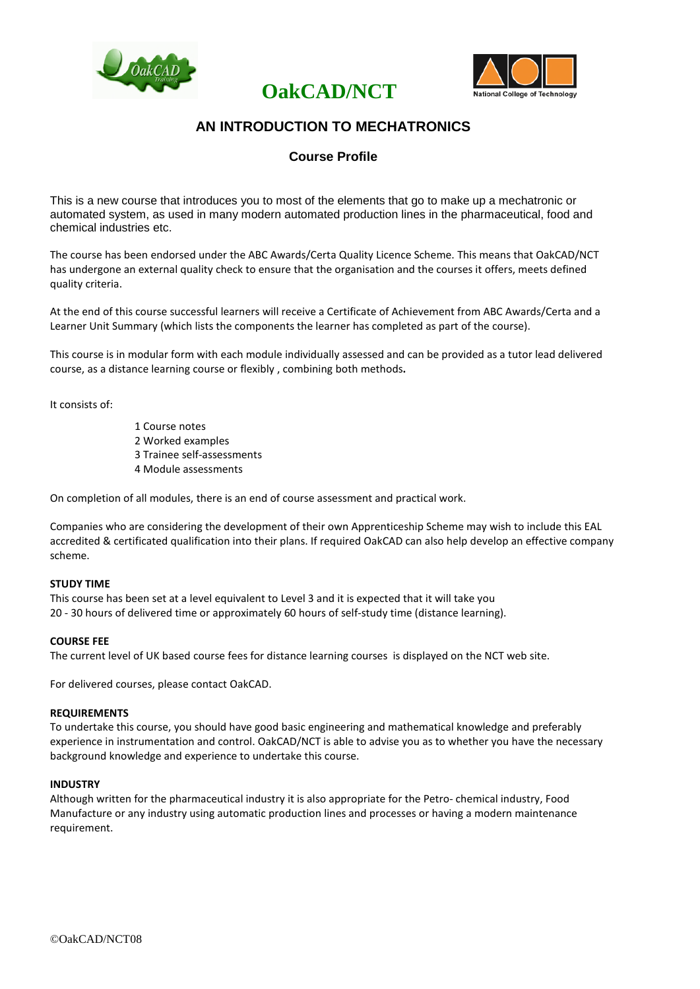



## **AN INTRODUCTION TO MECHATRONICS**

**OakCAD/NCT**

### **Course Profile**

This is a new course that introduces you to most of the elements that go to make up a mechatronic or automated system, as used in many modern automated production lines in the pharmaceutical, food and chemical industries etc.

The course has been endorsed under the ABC Awards/Certa Quality Licence Scheme. This means that OakCAD/NCT has undergone an external quality check to ensure that the organisation and the courses it offers, meets defined quality criteria.

At the end of this course successful learners will receive a Certificate of Achievement from ABC Awards/Certa and a Learner Unit Summary (which lists the components the learner has completed as part of the course).

This course is in modular form with each module individually assessed and can be provided as a tutor lead delivered course, as a distance learning course or flexibly , combining both methods**.**

It consists of:

1 Course notes 2 Worked examples 3 Trainee self-assessments 4 Module assessments

On completion of all modules, there is an end of course assessment and practical work.

Companies who are considering the development of their own Apprenticeship Scheme may wish to include this EAL accredited & certificated qualification into their plans. If required OakCAD can also help develop an effective company scheme.

#### **STUDY TIME**

This course has been set at a level equivalent to Level 3 and it is expected that it will take you 20 - 30 hours of delivered time or approximately 60 hours of self-study time (distance learning).

#### **COURSE FEE**

The current level of UK based course fees for distance learning courses is displayed on the NCT web site.

For delivered courses, please contact OakCAD.

#### **REQUIREMENTS**

To undertake this course, you should have good basic engineering and mathematical knowledge and preferably experience in instrumentation and control. OakCAD/NCT is able to advise you as to whether you have the necessary background knowledge and experience to undertake this course.

#### **INDUSTRY**

Although written for the pharmaceutical industry it is also appropriate for the Petro- chemical industry, Food Manufacture or any industry using automatic production lines and processes or having a modern maintenance requirement.